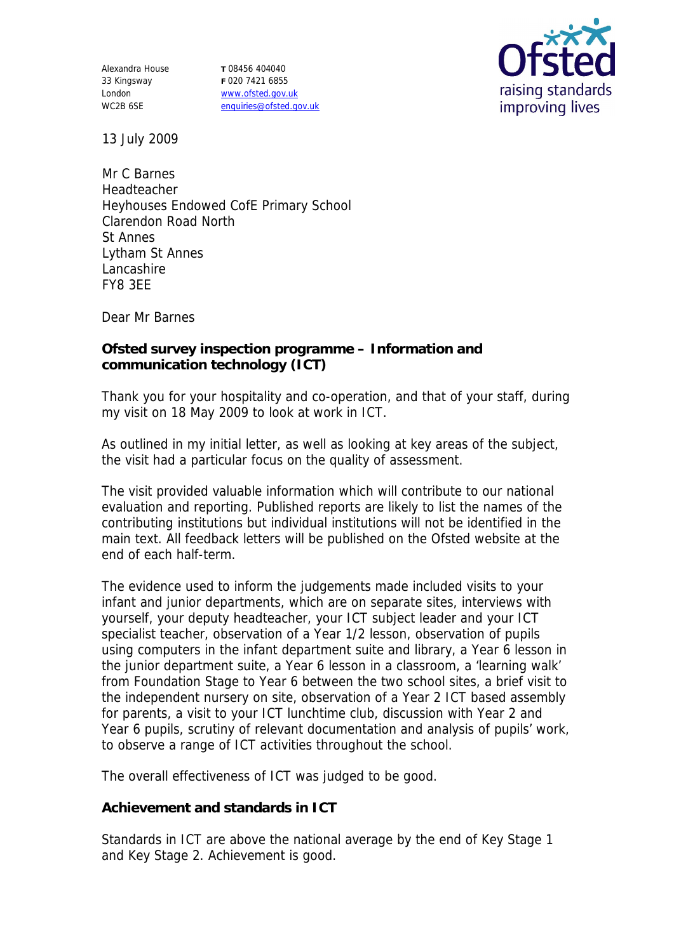Alexandra House 33 Kingsway London WC2B 6SE

**T** 08456 404040 **F** 020 7421 6855 www.ofsted.gov.uk enquiries@ofsted.gov.uk



13 July 2009

Mr C Barnes Headteacher Heyhouses Endowed CofE Primary School Clarendon Road North St Annes Lytham St Annes Lancashire FY8 3EE

Dear Mr Barnes

**Ofsted survey inspection programme – Information and communication technology (ICT)**

Thank you for your hospitality and co-operation, and that of your staff, during my visit on 18 May 2009 to look at work in ICT.

As outlined in my initial letter, as well as looking at key areas of the subject, the visit had a particular focus on the quality of assessment.

The visit provided valuable information which will contribute to our national evaluation and reporting. Published reports are likely to list the names of the contributing institutions but individual institutions will not be identified in the main text. All feedback letters will be published on the Ofsted website at the end of each half-term.

The evidence used to inform the judgements made included visits to your infant and junior departments, which are on separate sites, interviews with yourself, your deputy headteacher, your ICT subject leader and your ICT specialist teacher, observation of a Year 1/2 lesson, observation of pupils using computers in the infant department suite and library, a Year 6 lesson in the junior department suite, a Year 6 lesson in a classroom, a 'learning walk' from Foundation Stage to Year 6 between the two school sites, a brief visit to the independent nursery on site, observation of a Year 2 ICT based assembly for parents, a visit to your ICT lunchtime club, discussion with Year 2 and Year 6 pupils, scrutiny of relevant documentation and analysis of pupils' work, to observe a range of ICT activities throughout the school.

The overall effectiveness of ICT was judged to be good.

**Achievement and standards in ICT**

Standards in ICT are above the national average by the end of Key Stage 1 and Key Stage 2. Achievement is good.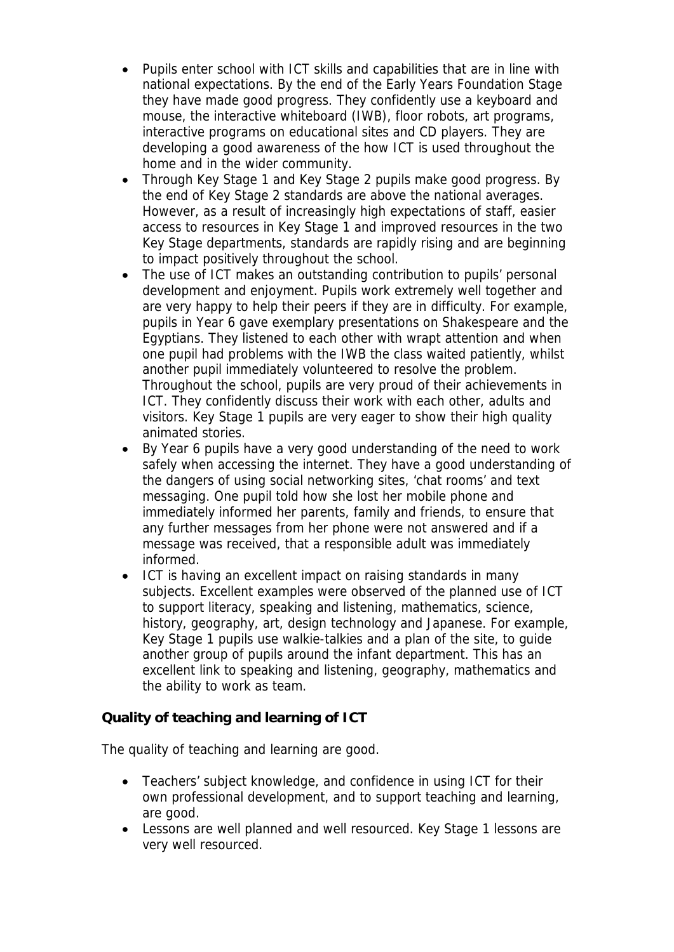- Pupils enter school with ICT skills and capabilities that are in line with national expectations. By the end of the Early Years Foundation Stage they have made good progress. They confidently use a keyboard and mouse, the interactive whiteboard (IWB), floor robots, art programs, interactive programs on educational sites and CD players. They are developing a good awareness of the how ICT is used throughout the home and in the wider community.
- Through Key Stage 1 and Key Stage 2 pupils make good progress. By the end of Key Stage 2 standards are above the national averages. However, as a result of increasingly high expectations of staff, easier access to resources in Key Stage 1 and improved resources in the two Key Stage departments, standards are rapidly rising and are beginning to impact positively throughout the school.
- The use of ICT makes an outstanding contribution to pupils' personal development and enjoyment. Pupils work extremely well together and are very happy to help their peers if they are in difficulty. For example, pupils in Year 6 gave exemplary presentations on Shakespeare and the Egyptians. They listened to each other with wrapt attention and when one pupil had problems with the IWB the class waited patiently, whilst another pupil immediately volunteered to resolve the problem. Throughout the school, pupils are very proud of their achievements in ICT. They confidently discuss their work with each other, adults and visitors. Key Stage 1 pupils are very eager to show their high quality animated stories.
- By Year 6 pupils have a very good understanding of the need to work safely when accessing the internet. They have a good understanding of the dangers of using social networking sites, 'chat rooms' and text messaging. One pupil told how she lost her mobile phone and immediately informed her parents, family and friends, to ensure that any further messages from her phone were not answered and if a message was received, that a responsible adult was immediately informed.
- ICT is having an excellent impact on raising standards in many subjects. Excellent examples were observed of the planned use of ICT to support literacy, speaking and listening, mathematics, science, history, geography, art, design technology and Japanese. For example, Key Stage 1 pupils use walkie-talkies and a plan of the site, to guide another group of pupils around the infant department. This has an excellent link to speaking and listening, geography, mathematics and the ability to work as team.

**Quality of teaching and learning of ICT**

The quality of teaching and learning are good.

- Teachers' subject knowledge, and confidence in using ICT for their own professional development, and to support teaching and learning, are good.
- Lessons are well planned and well resourced. Key Stage 1 lessons are very well resourced.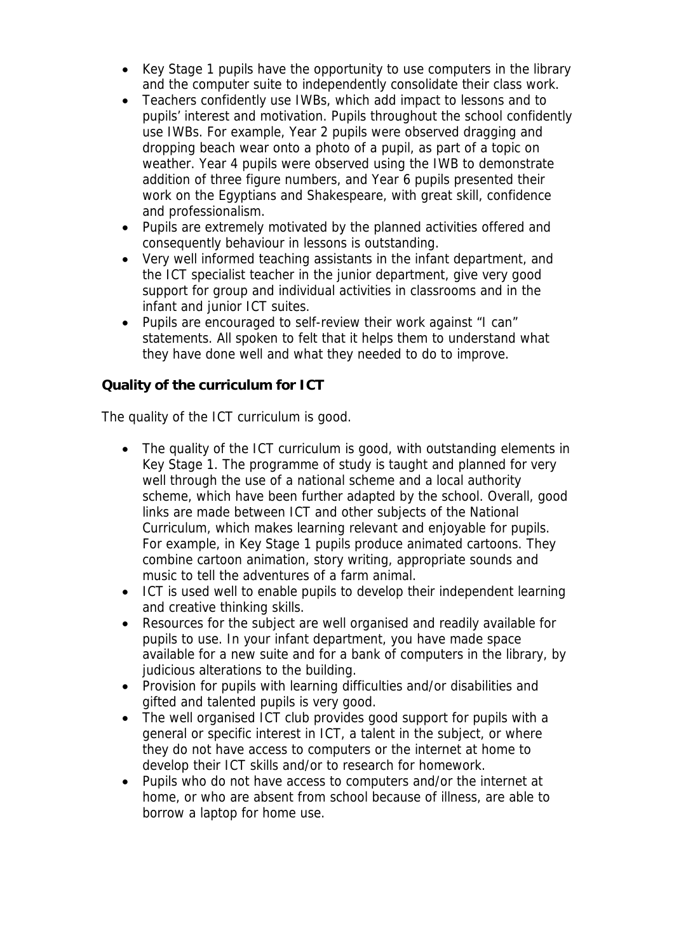- Key Stage 1 pupils have the opportunity to use computers in the library and the computer suite to independently consolidate their class work.
- Teachers confidently use IWBs, which add impact to lessons and to pupils' interest and motivation. Pupils throughout the school confidently use IWBs. For example, Year 2 pupils were observed dragging and dropping beach wear onto a photo of a pupil, as part of a topic on weather. Year 4 pupils were observed using the IWB to demonstrate addition of three figure numbers, and Year 6 pupils presented their work on the Egyptians and Shakespeare, with great skill, confidence and professionalism.
- Pupils are extremely motivated by the planned activities offered and consequently behaviour in lessons is outstanding.
- Very well informed teaching assistants in the infant department, and the ICT specialist teacher in the junior department, give very good support for group and individual activities in classrooms and in the infant and junior ICT suites.
- Pupils are encouraged to self-review their work against "I can" statements. All spoken to felt that it helps them to understand what they have done well and what they needed to do to improve.

**Quality of the curriculum for ICT**

The quality of the ICT curriculum is good.

- The quality of the ICT curriculum is good, with outstanding elements in Key Stage 1. The programme of study is taught and planned for very well through the use of a national scheme and a local authority scheme, which have been further adapted by the school. Overall, good links are made between ICT and other subjects of the National Curriculum, which makes learning relevant and enjoyable for pupils. For example, in Key Stage 1 pupils produce animated cartoons. They combine cartoon animation, story writing, appropriate sounds and music to tell the adventures of a farm animal.
- ICT is used well to enable pupils to develop their independent learning and creative thinking skills.
- Resources for the subject are well organised and readily available for pupils to use. In your infant department, you have made space available for a new suite and for a bank of computers in the library, by judicious alterations to the building.
- Provision for pupils with learning difficulties and/or disabilities and gifted and talented pupils is very good.
- The well organised ICT club provides good support for pupils with a general or specific interest in ICT, a talent in the subject, or where they do not have access to computers or the internet at home to develop their ICT skills and/or to research for homework.
- Pupils who do not have access to computers and/or the internet at home, or who are absent from school because of illness, are able to borrow a laptop for home use.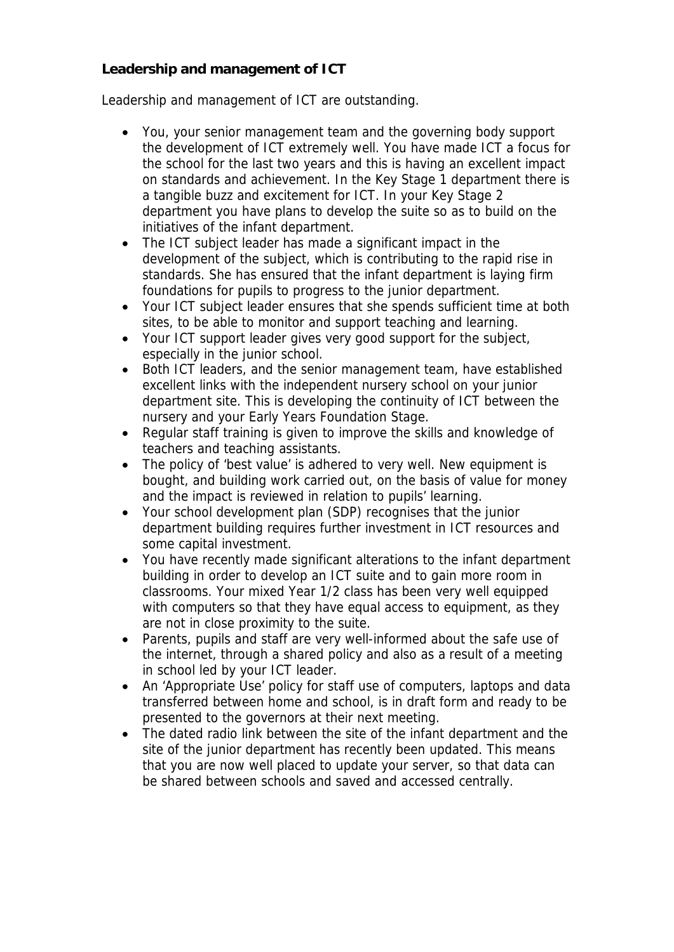**Leadership and management of ICT**

Leadership and management of ICT are outstanding.

- You, your senior management team and the governing body support the development of ICT extremely well. You have made ICT a focus for the school for the last two years and this is having an excellent impact on standards and achievement. In the Key Stage 1 department there is a tangible buzz and excitement for ICT. In your Key Stage 2 department you have plans to develop the suite so as to build on the initiatives of the infant department.
- The ICT subject leader has made a significant impact in the development of the subject, which is contributing to the rapid rise in standards. She has ensured that the infant department is laying firm foundations for pupils to progress to the junior department.
- Your ICT subject leader ensures that she spends sufficient time at both sites, to be able to monitor and support teaching and learning.
- Your ICT support leader gives very good support for the subject, especially in the junior school.
- Both ICT leaders, and the senior management team, have established excellent links with the independent nursery school on your junior department site. This is developing the continuity of ICT between the nursery and your Early Years Foundation Stage.
- Regular staff training is given to improve the skills and knowledge of teachers and teaching assistants.
- The policy of 'best value' is adhered to very well. New equipment is bought, and building work carried out, on the basis of value for money and the impact is reviewed in relation to pupils' learning.
- Your school development plan (SDP) recognises that the junior department building requires further investment in ICT resources and some capital investment.
- You have recently made significant alterations to the infant department building in order to develop an ICT suite and to gain more room in classrooms. Your mixed Year 1/2 class has been very well equipped with computers so that they have equal access to equipment, as they are not in close proximity to the suite.
- Parents, pupils and staff are very well-informed about the safe use of the internet, through a shared policy and also as a result of a meeting in school led by your ICT leader.
- An 'Appropriate Use' policy for staff use of computers, laptops and data transferred between home and school, is in draft form and ready to be presented to the governors at their next meeting.
- The dated radio link between the site of the infant department and the site of the junior department has recently been updated. This means that you are now well placed to update your server, so that data can be shared between schools and saved and accessed centrally.